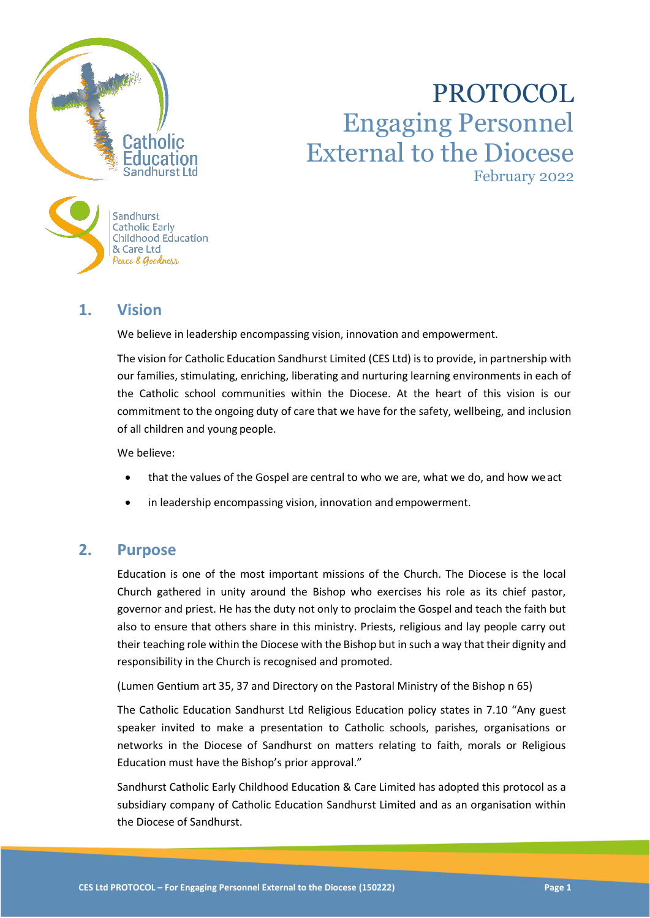

# PROTOCOL Engaging Personnel External to the Diocese February 2022

# **1. Vision**

Peace & Goodness

We believe in leadership encompassing vision, innovation and empowerment.

The vision for Catholic Education Sandhurst Limited (CES Ltd) is to provide, in partnership with our families, stimulating, enriching, liberating and nurturing learning environments in each of the Catholic school communities within the Diocese. At the heart of this vision is our commitment to the ongoing duty of care that we have for the safety, wellbeing, and inclusion of all children and young people.

We believe:

- that the values of the Gospel are central to who we are, what we do, and how we act
- in leadership encompassing vision, innovation and empowerment.

## **2. Purpose**

Education is one of the most important missions of the Church. The Diocese is the local Church gathered in unity around the Bishop who exercises his role as its chief pastor, governor and priest. He has the duty not only to proclaim the Gospel and teach the faith but also to ensure that others share in this ministry. Priests, religious and lay people carry out their teaching role within the Diocese with the Bishop but in such a way that their dignity and responsibility in the Church is recognised and promoted.

(Lumen Gentium art 35, 37 and Directory on the Pastoral Ministry of the Bishop n 65)

The Catholic Education Sandhurst Ltd Religious Education policy states in 7.10 "Any guest speaker invited to make a presentation to Catholic schools, parishes, organisations or networks in the Diocese of Sandhurst on matters relating to faith, morals or Religious Education must have the Bishop's prior approval."

Sandhurst Catholic Early Childhood Education & Care Limited has adopted this protocol as a subsidiary company of Catholic Education Sandhurst Limited and as an organisation within the Diocese of Sandhurst.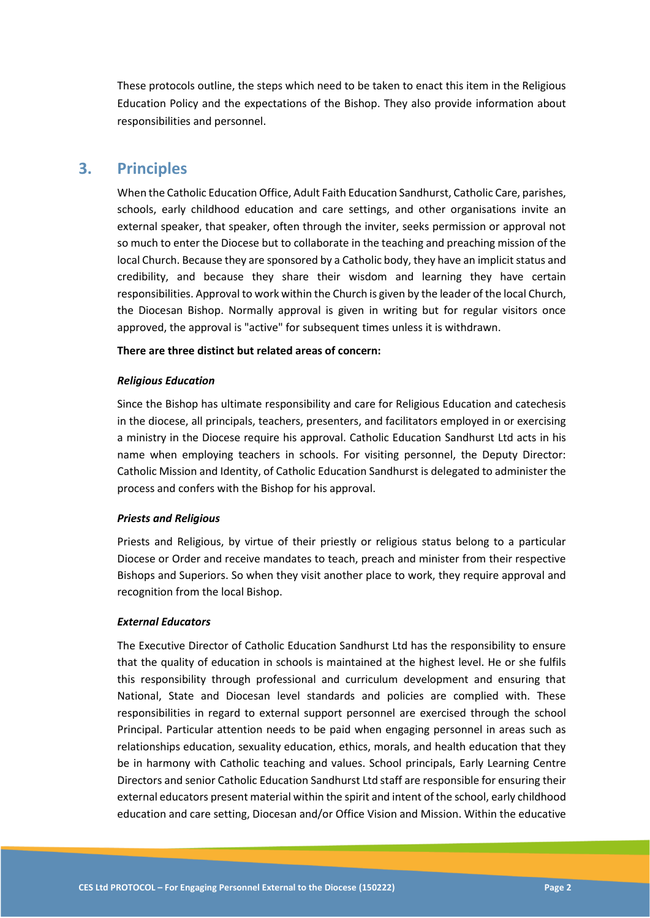These protocols outline, the steps which need to be taken to enact this item in the Religious Education Policy and the expectations of the Bishop. They also provide information about responsibilities and personnel.

## **3. Principles**

When the Catholic Education Office, Adult Faith Education Sandhurst, Catholic Care, parishes, schools, early childhood education and care settings, and other organisations invite an external speaker, that speaker, often through the inviter, seeks permission or approval not so much to enter the Diocese but to collaborate in the teaching and preaching mission of the local Church. Because they are sponsored by a Catholic body, they have an implicit status and credibility, and because they share their wisdom and learning they have certain responsibilities. Approval to work within the Church is given by the leader of the local Church, the Diocesan Bishop. Normally approval is given in writing but for regular visitors once approved, the approval is "active" for subsequent times unless it is withdrawn.

#### **There are three distinct but related areas of concern:**

#### *Religious Education*

Since the Bishop has ultimate responsibility and care for Religious Education and catechesis in the diocese, all principals, teachers, presenters, and facilitators employed in or exercising a ministry in the Diocese require his approval. Catholic Education Sandhurst Ltd acts in his name when employing teachers in schools. For visiting personnel, the Deputy Director: Catholic Mission and Identity, of Catholic Education Sandhurst is delegated to administer the process and confers with the Bishop for his approval.

#### *Priests and Religious*

Priests and Religious, by virtue of their priestly or religious status belong to a particular Diocese or Order and receive mandates to teach, preach and minister from their respective Bishops and Superiors. So when they visit another place to work, they require approval and recognition from the local Bishop.

#### *External Educators*

The Executive Director of Catholic Education Sandhurst Ltd has the responsibility to ensure that the quality of education in schools is maintained at the highest level. He or she fulfils this responsibility through professional and curriculum development and ensuring that National, State and Diocesan level standards and policies are complied with. These responsibilities in regard to external support personnel are exercised through the school Principal. Particular attention needs to be paid when engaging personnel in areas such as relationships education, sexuality education, ethics, morals, and health education that they be in harmony with Catholic teaching and values. School principals, Early Learning Centre Directors and senior Catholic Education Sandhurst Ltd staff are responsible for ensuring their external educators present material within the spirit and intent of the school, early childhood education and care setting, Diocesan and/or Office Vision and Mission. Within the educative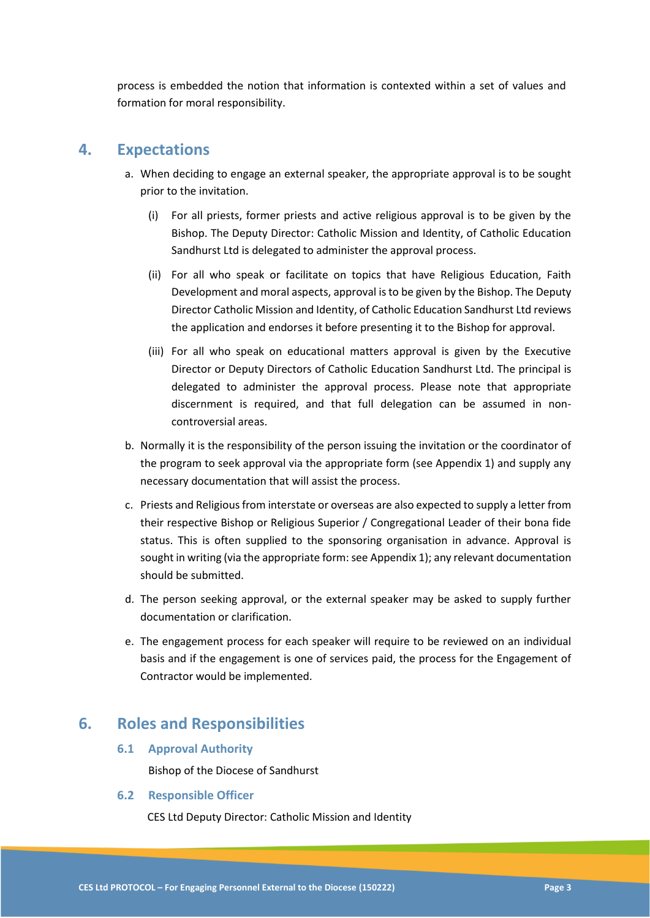process is embedded the notion that information is contexted within a set of values and formation for moral responsibility.

## **4. Expectations**

- a. When deciding to engage an external speaker, the appropriate approval is to be sought prior to the invitation.
	- (i) For all priests, former priests and active religious approval is to be given by the Bishop. The Deputy Director: Catholic Mission and Identity, of Catholic Education Sandhurst Ltd is delegated to administer the approval process.
	- (ii) For all who speak or facilitate on topics that have Religious Education, Faith Development and moral aspects, approval is to be given by the Bishop. The Deputy Director Catholic Mission and Identity, of Catholic Education Sandhurst Ltd reviews the application and endorses it before presenting it to the Bishop for approval.
	- (iii) For all who speak on educational matters approval is given by the Executive Director or Deputy Directors of Catholic Education Sandhurst Ltd. The principal is delegated to administer the approval process. Please note that appropriate discernment is required, and that full delegation can be assumed in noncontroversial areas.
- b. Normally it is the responsibility of the person issuing the invitation or the coordinator of the program to seek approval via the appropriate form (see Appendix 1) and supply any necessary documentation that will assist the process.
- c. Priests and Religious from interstate or overseas are also expected to supply a letter from their respective Bishop or Religious Superior / Congregational Leader of their bona fide status. This is often supplied to the sponsoring organisation in advance. Approval is sought in writing (via the appropriate form: see Appendix 1); any relevant documentation should be submitted.
- d. The person seeking approval, or the external speaker may be asked to supply further documentation or clarification.
- e. The engagement process for each speaker will require to be reviewed on an individual basis and if the engagement is one of services paid, the process for the Engagement of Contractor would be implemented.

## **6. Roles and Responsibilities**

**6.1 Approval Authority**

Bishop of the Diocese of Sandhurst

#### **6.2 Responsible Officer**

CES Ltd Deputy Director: Catholic Mission and Identity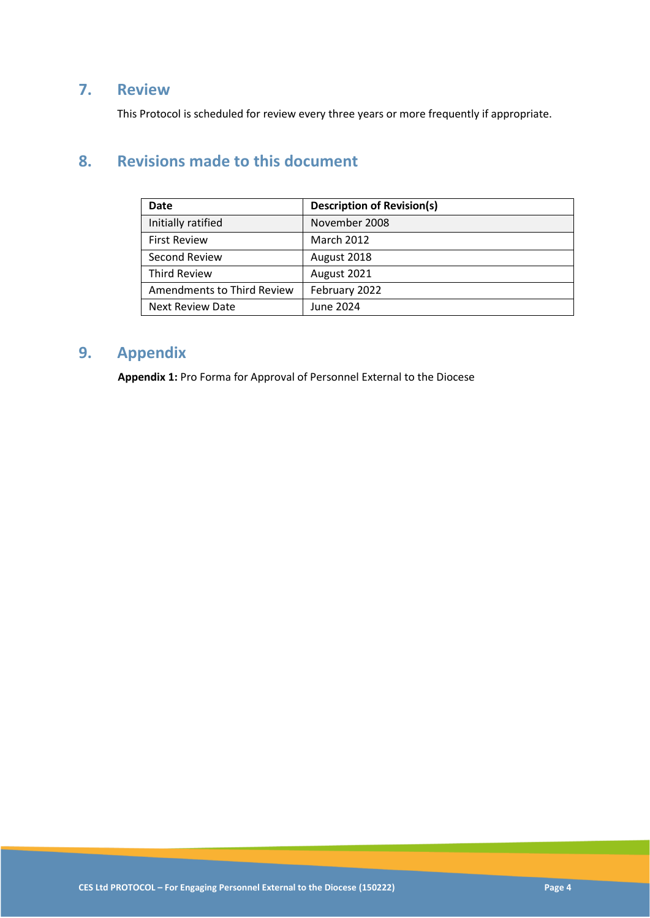## **7. Review**

This Protocol is scheduled for review every three years or more frequently if appropriate.

# **8. Revisions made to this document**

| <b>Date</b>                | <b>Description of Revision(s)</b> |
|----------------------------|-----------------------------------|
| Initially ratified         | November 2008                     |
| <b>First Review</b>        | <b>March 2012</b>                 |
| Second Review              | August 2018                       |
| <b>Third Review</b>        | August 2021                       |
| Amendments to Third Review | February 2022                     |
| <b>Next Review Date</b>    | June 2024                         |

# **9. Appendix**

**Appendix 1:** Pro Forma for Approval of Personnel External to the Diocese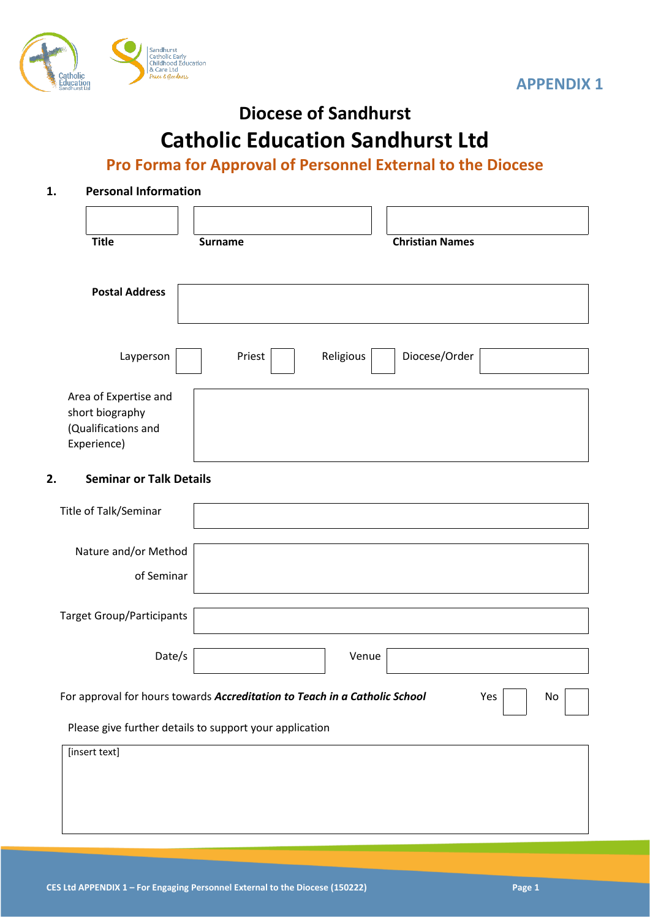



# **Diocese of Sandhurst**

# **Catholic Education Sandhurst Ltd**

# **Pro Forma for Approval of Personnel External to the Diocese**

## **1. Personal Information**

| <b>Title</b>                                                                                                      | <b>Surname</b>      | <b>Christian Names</b> |  |  |  |
|-------------------------------------------------------------------------------------------------------------------|---------------------|------------------------|--|--|--|
| <b>Postal Address</b>                                                                                             |                     |                        |  |  |  |
| Layperson                                                                                                         | Religious<br>Priest | Diocese/Order          |  |  |  |
| Area of Expertise and<br>short biography<br>(Qualifications and<br>Experience)                                    |                     |                        |  |  |  |
| <b>Seminar or Talk Details</b><br>2.                                                                              |                     |                        |  |  |  |
| Title of Talk/Seminar                                                                                             |                     |                        |  |  |  |
| Nature and/or Method<br>of Seminar                                                                                |                     |                        |  |  |  |
| <b>Target Group/Participants</b>                                                                                  |                     |                        |  |  |  |
| Date/s                                                                                                            |                     | Venue                  |  |  |  |
| For approval for hours towards Accreditation to Teach in a Catholic School<br>Yes<br>$\operatorname{\mathsf{No}}$ |                     |                        |  |  |  |
| Please give further details to support your application                                                           |                     |                        |  |  |  |
| [insert text]                                                                                                     |                     |                        |  |  |  |
|                                                                                                                   |                     |                        |  |  |  |
|                                                                                                                   |                     |                        |  |  |  |